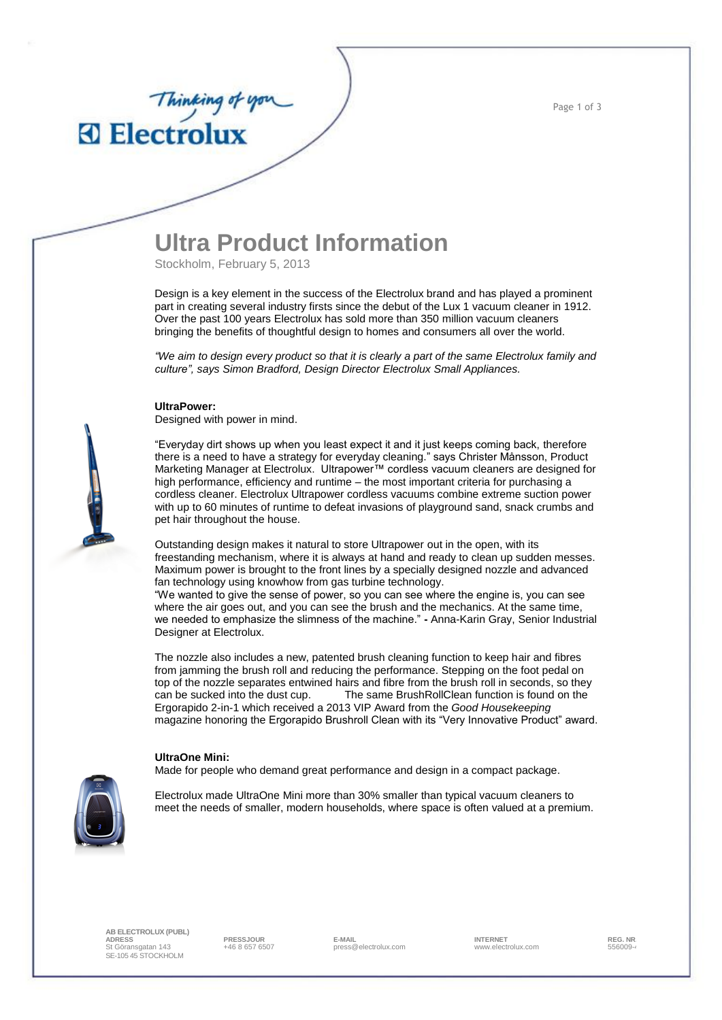Page 1 of 3

### **Ultra Product Information**

Stockholm, February 5, 2013

Design is a key element in the success of the Electrolux brand and has played a prominent part in creating several industry firsts since the debut of the Lux 1 vacuum cleaner in 1912. Over the past 100 years Electrolux has sold more than 350 million vacuum cleaners bringing the benefits of thoughtful design to homes and consumers all over the world.

*"We aim to design every product so that it is clearly a part of the same Electrolux family and culture", says Simon Bradford, Design Director Electrolux Small Appliances.* 

#### **UltraPower:**

Thinking of you

Designed with power in mind.

"Everyday dirt shows up when you least expect it and it just keeps coming back, therefore there is a need to have a strategy for everyday cleaning." says Christer Månsson, Product Marketing Manager at Electrolux. Ultrapower™ cordless vacuum cleaners are designed for high performance, efficiency and runtime – the most important criteria for purchasing a cordless cleaner. Electrolux Ultrapower cordless vacuums combine extreme suction power with up to 60 minutes of runtime to defeat invasions of playground sand, snack crumbs and pet hair throughout the house.

Outstanding design makes it natural to store Ultrapower out in the open, with its freestanding mechanism, where it is always at hand and ready to clean up sudden messes. Maximum power is brought to the front lines by a specially designed nozzle and advanced fan technology using knowhow from gas turbine technology.

"We wanted to give the sense of power, so you can see where the engine is, you can see where the air goes out, and you can see the brush and the mechanics. At the same time, we needed to emphasize the slimness of the machine." **-** Anna-Karin Gray, Senior Industrial Designer at Electrolux.

The nozzle also includes a new, patented brush cleaning function to keep hair and fibres from jamming the brush roll and reducing the performance. Stepping on the foot pedal on top of the nozzle separates entwined hairs and fibre from the brush roll in seconds, so they can be sucked into the dust cup. The same BrushRollClean function is found on the Ergorapido 2-in-1 which received a 2013 VIP Award from the *Good Housekeeping*  magazine honoring the Ergorapido Brushroll Clean with its "Very Innovative Product" award.

#### **UltraOne Mini:**

Made for people who demand great performance and design in a compact package.



Electrolux made UltraOne Mini more than 30% smaller than typical vacuum cleaners to meet the needs of smaller, modern households, where space is often valued at a premium.

**AB ELECTROLUX (PUBL) ADRESS PRESSJOUR E-MAIL INTERNET REG. NR.** St Göransgatan 143 SE-105 45 STOCKHOLM

. - a second the press of the second press of the control of the second term in the second-<br>A 46 8 657 6507 **press @electrolux.com** www.electrolux.com **556009-4**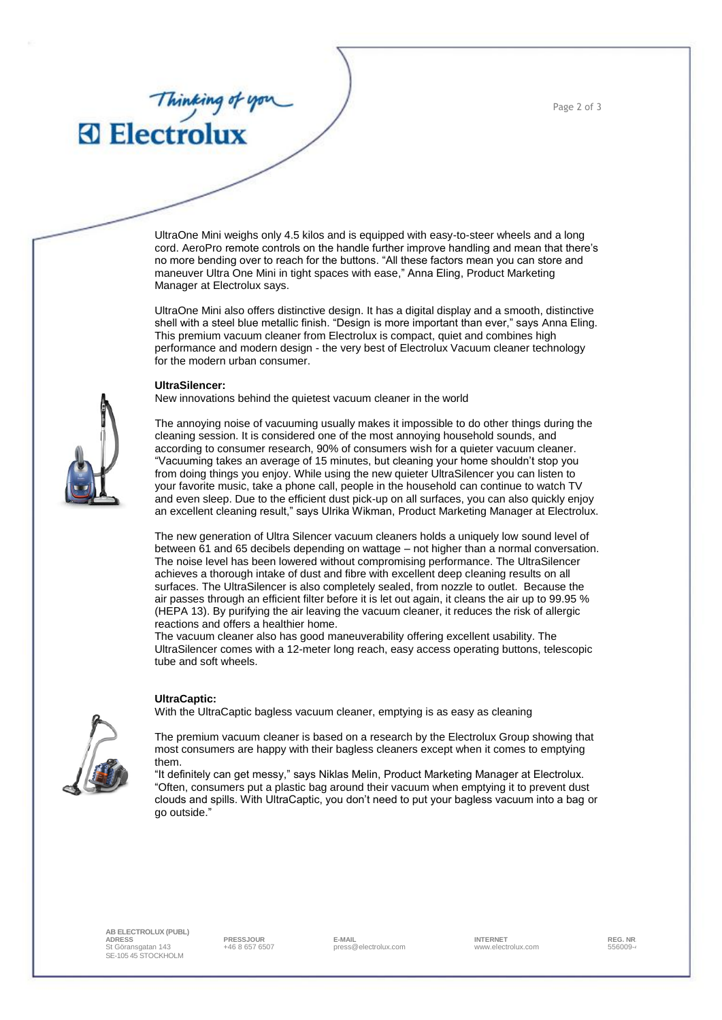Page 2 of 3

# Thinking of you

UltraOne Mini weighs only 4.5 kilos and is equipped with easy-to-steer wheels and a long cord. AeroPro remote controls on the handle further improve handling and mean that there's no more bending over to reach for the buttons. "All these factors mean you can store and maneuver Ultra One Mini in tight spaces with ease," Anna Eling, Product Marketing Manager at Electrolux says.

UltraOne Mini also offers distinctive design. It has a digital display and a smooth, distinctive shell with a steel blue metallic finish. "Design is more important than ever," says Anna Eling. This premium vacuum cleaner from Electrolux is compact, quiet and combines high performance and modern design - the very best of Electrolux Vacuum cleaner technology for the modern urban consumer.

#### **UltraSilencer:**

New innovations behind the quietest vacuum cleaner in the world

The annoying noise of vacuuming usually makes it impossible to do other things during the cleaning session. It is considered one of the most annoying household sounds, and according to consumer research, 90% of consumers wish for a quieter vacuum cleaner. "Vacuuming takes an average of 15 minutes, but cleaning your home shouldn't stop you from doing things you enjoy. While using the new quieter UltraSilencer you can listen to your favorite music, take a phone call, people in the household can continue to watch TV and even sleep. Due to the efficient dust pick-up on all surfaces, you can also quickly enjoy an excellent cleaning result," says Ulrika Wikman, Product Marketing Manager at Electrolux.

The new generation of Ultra Silencer vacuum cleaners holds a uniquely low sound level of between 61 and 65 decibels depending on wattage – not higher than a normal conversation. The noise level has been lowered without compromising performance. The UltraSilencer achieves a thorough intake of dust and fibre with excellent deep cleaning results on all surfaces. The UltraSilencer is also completely sealed, from nozzle to outlet. Because the air passes through an efficient filter before it is let out again, it cleans the air up to 99.95 % (HEPA 13). By purifying the air leaving the vacuum cleaner, it reduces the risk of allergic reactions and offers a healthier home.

The vacuum cleaner also has good maneuverability offering excellent usability. The UltraSilencer comes with a 12-meter long reach, easy access operating buttons, telescopic tube and soft wheels.

#### **UltraCaptic:**

With the UltraCaptic bagless vacuum cleaner, emptying is as easy as cleaning



The premium vacuum cleaner is based on a research by the Electrolux Group showing that most consumers are happy with their bagless cleaners except when it comes to emptying them.

"It definitely can get messy," says Niklas Melin, Product Marketing Manager at Electrolux. "Often, consumers put a plastic bag around their vacuum when emptying it to prevent dust clouds and spills. With UltraCaptic, you don't need to put your bagless vacuum into a bag or go outside."

**AB ELECTROLUX (PUBL) ADRESS PRESSJOUR E-MAIL INTERNET REG. NR.** St Göransgatan 143 SE-105 45 STOCKHOLM

. - a second the press of the second press of the control of the second term in the second-<br>A 46 8 657 6507 **press @electrolux.com** www.electrolux.com **556009-4**